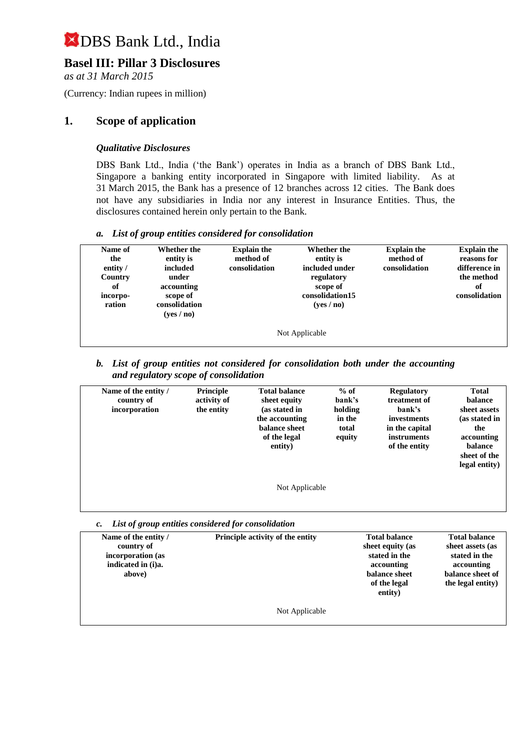## **Basel III: Pillar 3 Disclosures**

*as at 31 March 2015*

(Currency: Indian rupees in million)

### **1. Scope of application**

#### *Qualitative Disclosures*

DBS Bank Ltd., India ('the Bank') operates in India as a branch of DBS Bank Ltd., Singapore a banking entity incorporated in Singapore with limited liability. As at 31 March 2015, the Bank has a presence of 12 branches across 12 cities. The Bank does not have any subsidiaries in India nor any interest in Insurance Entities. Thus, the disclosures contained herein only pertain to the Bank.

#### *a. List of group entities considered for consolidation*

| Name of<br>the<br>entity /<br>Country<br>of<br>incorpo-<br>ration | Whether the<br>entity is<br>included<br>under<br>accounting<br>scope of<br>consolidation<br>(yes/no) | <b>Explain the</b><br>method of<br>consolidation | Whether the<br>entity is<br>included under<br>regulatory<br>scope of<br>consolidation15<br>(yes/no) | <b>Explain the</b><br>method of<br>consolidation | <b>Explain the</b><br>reasons for<br>difference in<br>the method<br>оf<br>consolidation |
|-------------------------------------------------------------------|------------------------------------------------------------------------------------------------------|--------------------------------------------------|-----------------------------------------------------------------------------------------------------|--------------------------------------------------|-----------------------------------------------------------------------------------------|
| Not Applicable                                                    |                                                                                                      |                                                  |                                                                                                     |                                                  |                                                                                         |

*b. List of group entities not considered for consolidation both under the accounting and regulatory scope of consolidation*

| Name of the entity /<br>country of<br>incorporation | Principle<br>activity of<br>the entity | <b>Total balance</b><br>sheet equity<br>(as stated in<br>the accounting<br>balance sheet<br>of the legal<br>entity) | $%$ of<br>bank's<br>holding<br>in the<br>total<br>equity | <b>Regulatory</b><br>treatment of<br>bank's<br>investments<br>in the capital<br>instruments<br>of the entity | <b>Total</b><br><b>balance</b><br>sheet assets<br>(as stated in<br>the<br>accounting<br><b>balance</b><br>sheet of the<br>legal entity) |
|-----------------------------------------------------|----------------------------------------|---------------------------------------------------------------------------------------------------------------------|----------------------------------------------------------|--------------------------------------------------------------------------------------------------------------|-----------------------------------------------------------------------------------------------------------------------------------------|
|                                                     |                                        | Not Applicable                                                                                                      |                                                          |                                                                                                              |                                                                                                                                         |

*c. List of group entities considered for consolidation*

| Name of the entity /<br>country of<br>incorporation (as<br>indicated in (i)a.<br>above) | Principle activity of the entity | <b>Total balance</b><br>sheet equity (as<br>stated in the<br>accounting<br>balance sheet<br>of the legal<br>entity) | <b>Total balance</b><br>sheet assets (as<br>stated in the<br>accounting<br>balance sheet of<br>the legal entity) |
|-----------------------------------------------------------------------------------------|----------------------------------|---------------------------------------------------------------------------------------------------------------------|------------------------------------------------------------------------------------------------------------------|
|                                                                                         | Not Applicable                   |                                                                                                                     |                                                                                                                  |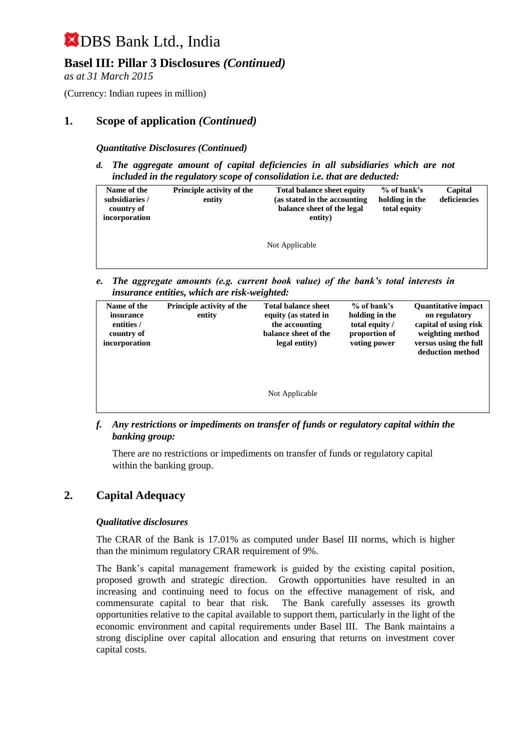## **Basel III: Pillar 3 Disclosures** *(Continued)*

*as at 31 March 2015*

(Currency: Indian rupees in million)

## **1. Scope of application** *(Continued)*

#### *Quantitative Disclosures (Continued)*

*d. The aggregate amount of capital deficiencies in all subsidiaries which are not included in the regulatory scope of consolidation i.e. that are deducted:*

| Name of the<br>subsidiaries /<br>country of<br>incorporation | <b>Principle activity of the</b><br>entity | <b>Total balance sheet equity</b><br>(as stated in the accounting)<br>balance sheet of the legal<br>entity) | % of bank's<br>holding in the<br>total equity | Capital<br>deficiencies |
|--------------------------------------------------------------|--------------------------------------------|-------------------------------------------------------------------------------------------------------------|-----------------------------------------------|-------------------------|
|                                                              |                                            | Not Applicable                                                                                              |                                               |                         |

*e. The aggregate amounts (e.g. current book value) of the bank's total interests in insurance entities, which are risk-weighted:*

| Name of the<br>insurance<br>entities /<br>country of<br>incorporation | <b>Principle activity of the</b><br>entity | <b>Total balance sheet</b><br>equity (as stated in<br>the accounting<br>balance sheet of the<br>legal entity) | $%$ of bank's<br>holding in the<br>total equity /<br>proportion of<br>voting power | <b>Quantitative impact</b><br>on regulatory<br>capital of using risk<br>weighting method<br>versus using the full<br>deduction method |
|-----------------------------------------------------------------------|--------------------------------------------|---------------------------------------------------------------------------------------------------------------|------------------------------------------------------------------------------------|---------------------------------------------------------------------------------------------------------------------------------------|
|                                                                       |                                            | Not Applicable                                                                                                |                                                                                    |                                                                                                                                       |

*f. Any restrictions or impediments on transfer of funds or regulatory capital within the banking group:*

There are no restrictions or impediments on transfer of funds or regulatory capital within the banking group.

#### **2. Capital Adequacy**

#### *Qualitative disclosures*

The CRAR of the Bank is 17.01% as computed under Basel III norms, which is higher than the minimum regulatory CRAR requirement of 9%.

The Bank's capital management framework is guided by the existing capital position, proposed growth and strategic direction. Growth opportunities have resulted in an increasing and continuing need to focus on the effective management of risk, and commensurate capital to bear that risk. The Bank carefully assesses its growth opportunities relative to the capital available to support them, particularly in the light of the economic environment and capital requirements under Basel III. The Bank maintains a strong discipline over capital allocation and ensuring that returns on investment cover capital costs.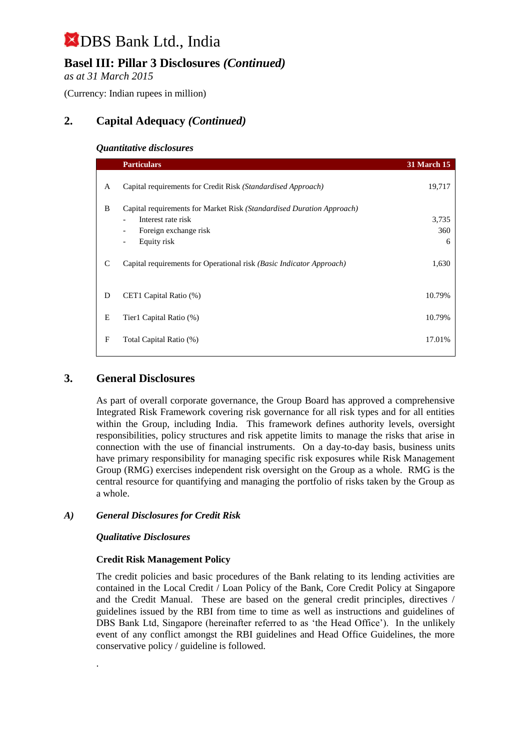## **Basel III: Pillar 3 Disclosures** *(Continued)*

*as at 31 March 2015*

(Currency: Indian rupees in million)

## **2. Capital Adequacy** *(Continued)*

#### *Quantitative disclosures*

|   | <b>Particulars</b>                                                    | <b>31 March 15</b> |
|---|-----------------------------------------------------------------------|--------------------|
| A | Capital requirements for Credit Risk (Standardised Approach)          | 19,717             |
| B | Capital requirements for Market Risk (Standardised Duration Approach) |                    |
|   | Interest rate risk                                                    | 3,735              |
|   | Foreign exchange risk<br>$\qquad \qquad \blacksquare$                 | 360                |
|   | Equity risk<br>$\overline{\phantom{a}}$                               | 6                  |
| C | Capital requirements for Operational risk (Basic Indicator Approach)  | 1,630              |
| D | CET1 Capital Ratio (%)                                                | 10.79%             |
| E | Tier1 Capital Ratio (%)                                               | 10.79%             |
| F | Total Capital Ratio (%)                                               | 17.01%             |

## **3. General Disclosures**

As part of overall corporate governance, the Group Board has approved a comprehensive Integrated Risk Framework covering risk governance for all risk types and for all entities within the Group, including India. This framework defines authority levels, oversight responsibilities, policy structures and risk appetite limits to manage the risks that arise in connection with the use of financial instruments. On a day-to-day basis, business units have primary responsibility for managing specific risk exposures while Risk Management Group (RMG) exercises independent risk oversight on the Group as a whole. RMG is the central resource for quantifying and managing the portfolio of risks taken by the Group as a whole.

#### *A) General Disclosures for Credit Risk*

#### *Qualitative Disclosures*

.

#### **Credit Risk Management Policy**

The credit policies and basic procedures of the Bank relating to its lending activities are contained in the Local Credit / Loan Policy of the Bank, Core Credit Policy at Singapore and the Credit Manual. These are based on the general credit principles, directives / guidelines issued by the RBI from time to time as well as instructions and guidelines of DBS Bank Ltd, Singapore (hereinafter referred to as 'the Head Office'). In the unlikely event of any conflict amongst the RBI guidelines and Head Office Guidelines, the more conservative policy / guideline is followed.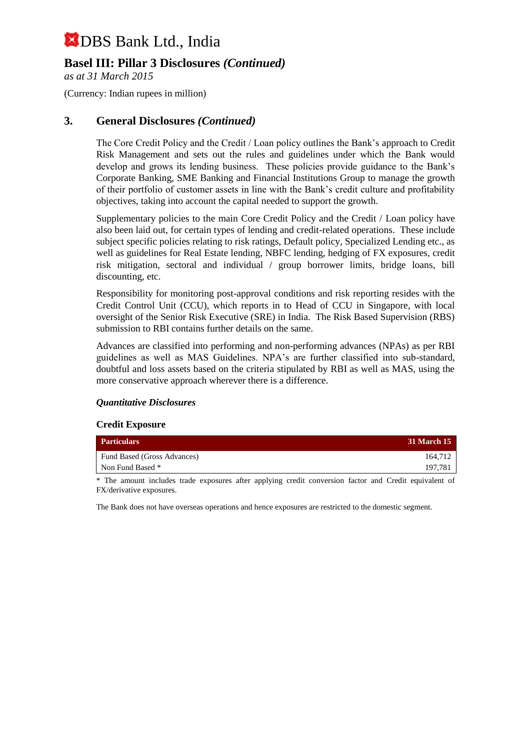## **Basel III: Pillar 3 Disclosures** *(Continued)*

*as at 31 March 2015*

(Currency: Indian rupees in million)

### **3. General Disclosures** *(Continued)*

The Core Credit Policy and the Credit / Loan policy outlines the Bank's approach to Credit Risk Management and sets out the rules and guidelines under which the Bank would develop and grows its lending business. These policies provide guidance to the Bank's Corporate Banking, SME Banking and Financial Institutions Group to manage the growth of their portfolio of customer assets in line with the Bank's credit culture and profitability objectives, taking into account the capital needed to support the growth.

Supplementary policies to the main Core Credit Policy and the Credit / Loan policy have also been laid out, for certain types of lending and credit-related operations. These include subject specific policies relating to risk ratings, Default policy, Specialized Lending etc., as well as guidelines for Real Estate lending, NBFC lending, hedging of FX exposures, credit risk mitigation, sectoral and individual / group borrower limits, bridge loans, bill discounting, etc.

Responsibility for monitoring post-approval conditions and risk reporting resides with the Credit Control Unit (CCU), which reports in to Head of CCU in Singapore, with local oversight of the Senior Risk Executive (SRE) in India. The Risk Based Supervision (RBS) submission to RBI contains further details on the same.

Advances are classified into performing and non-performing advances (NPAs) as per RBI guidelines as well as MAS Guidelines. NPA's are further classified into sub-standard, doubtful and loss assets based on the criteria stipulated by RBI as well as MAS, using the more conservative approach wherever there is a difference.

#### *Quantitative Disclosures*

#### **Credit Exposure**

| <b>Particulars</b>          | <b>31 March 15</b> |
|-----------------------------|--------------------|
| Fund Based (Gross Advances) | 164.712            |
| Non Fund Based *            | 197.781            |

\* The amount includes trade exposures after applying credit conversion factor and Credit equivalent of FX/derivative exposures.

The Bank does not have overseas operations and hence exposures are restricted to the domestic segment.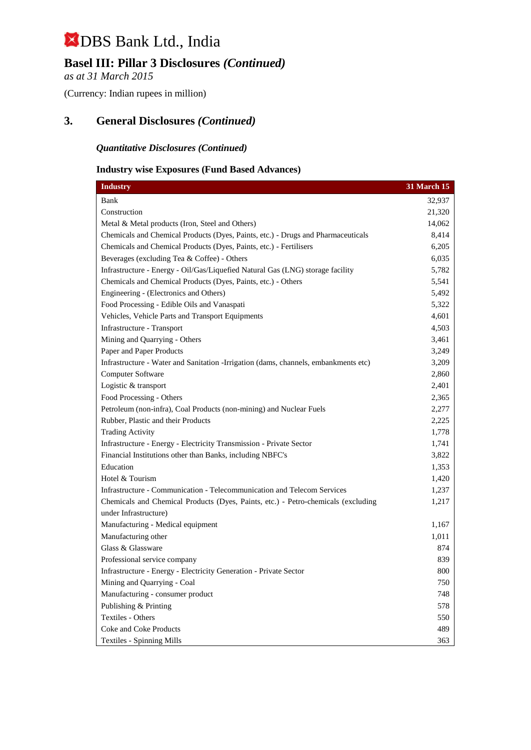## **Basel III: Pillar 3 Disclosures** *(Continued)*

*as at 31 March 2015*

(Currency: Indian rupees in million)

## **3. General Disclosures** *(Continued)*

### *Quantitative Disclosures (Continued)*

#### **Industry wise Exposures (Fund Based Advances)**

| <b>Industry</b>                                                                     | <b>31 March 15</b> |
|-------------------------------------------------------------------------------------|--------------------|
| Bank                                                                                | 32,937             |
| Construction                                                                        | 21,320             |
| Metal & Metal products (Iron, Steel and Others)                                     | 14,062             |
| Chemicals and Chemical Products (Dyes, Paints, etc.) - Drugs and Pharmaceuticals    | 8,414              |
| Chemicals and Chemical Products (Dyes, Paints, etc.) - Fertilisers                  | 6,205              |
| Beverages (excluding Tea & Coffee) - Others                                         | 6,035              |
| Infrastructure - Energy - Oil/Gas/Liquefied Natural Gas (LNG) storage facility      | 5,782              |
| Chemicals and Chemical Products (Dyes, Paints, etc.) - Others                       | 5,541              |
| Engineering - (Electronics and Others)                                              | 5,492              |
| Food Processing - Edible Oils and Vanaspati                                         | 5,322              |
| Vehicles, Vehicle Parts and Transport Equipments                                    | 4,601              |
| Infrastructure - Transport                                                          | 4,503              |
| Mining and Quarrying - Others                                                       | 3,461              |
| Paper and Paper Products                                                            | 3,249              |
| Infrastructure - Water and Sanitation -Irrigation (dams, channels, embankments etc) | 3,209              |
| Computer Software                                                                   | 2,860              |
| Logistic & transport                                                                | 2,401              |
| Food Processing - Others                                                            | 2,365              |
| Petroleum (non-infra), Coal Products (non-mining) and Nuclear Fuels                 | 2,277              |
| Rubber, Plastic and their Products                                                  | 2,225              |
| <b>Trading Activity</b>                                                             | 1,778              |
| Infrastructure - Energy - Electricity Transmission - Private Sector                 | 1,741              |
| Financial Institutions other than Banks, including NBFC's                           | 3,822              |
| Education                                                                           | 1,353              |
| Hotel & Tourism                                                                     | 1,420              |
| Infrastructure - Communication - Telecommunication and Telecom Services             | 1,237              |
| Chemicals and Chemical Products (Dyes, Paints, etc.) - Petro-chemicals (excluding   | 1,217              |
| under Infrastructure)                                                               |                    |
| Manufacturing - Medical equipment                                                   | 1,167              |
| Manufacturing other                                                                 | 1,011              |
| Glass & Glassware                                                                   | 874                |
| Professional service company                                                        | 839                |
| Infrastructure - Energy - Electricity Generation - Private Sector                   | 800                |
| Mining and Quarrying - Coal                                                         | 750                |
| Manufacturing - consumer product                                                    | 748                |
| Publishing & Printing                                                               | 578                |
| <b>Textiles - Others</b>                                                            | 550                |
| <b>Coke and Coke Products</b>                                                       | 489                |
| <b>Textiles - Spinning Mills</b>                                                    | 363                |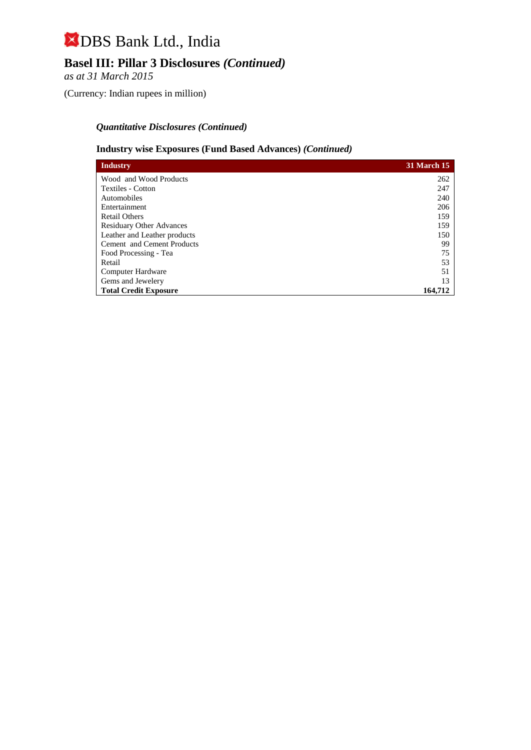## **Basel III: Pillar 3 Disclosures** *(Continued)*

*as at 31 March 2015*

(Currency: Indian rupees in million)

### *Quantitative Disclosures (Continued)*

#### **Industry wise Exposures (Fund Based Advances)** *(Continued)*

| <b>Industry</b>                   | <b>31 March 15</b> |
|-----------------------------------|--------------------|
| Wood and Wood Products            | 262                |
| Textiles - Cotton                 | 247                |
| Automobiles                       | 240                |
| Entertainment                     | 206                |
| <b>Retail Others</b>              | 159                |
| <b>Residuary Other Advances</b>   | 159                |
| Leather and Leather products      | 150                |
| <b>Cement</b> and Cement Products | 99                 |
| Food Processing - Tea             | 75                 |
| Retail                            | 53                 |
| Computer Hardware                 | 51                 |
| Gems and Jewelery                 | 13                 |
| <b>Total Credit Exposure</b>      | 164,712            |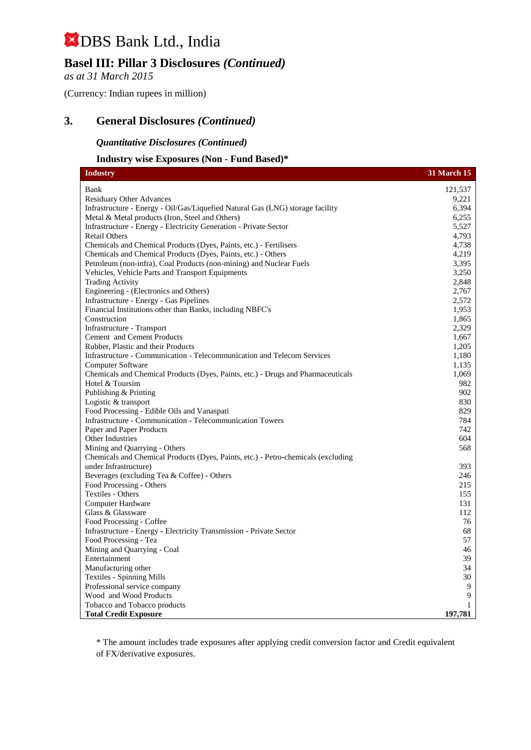## **Basel III: Pillar 3 Disclosures** *(Continued)*

*as at 31 March 2015*

(Currency: Indian rupees in million)

## **3. General Disclosures** *(Continued)*

#### *Quantitative Disclosures (Continued)*

#### **Industry wise Exposures (Non - Fund Based)\***

| <b>Industry</b>                                                                   | <b>31 March 15</b> |
|-----------------------------------------------------------------------------------|--------------------|
| Bank                                                                              | 121,537            |
| <b>Residuary Other Advances</b>                                                   | 9.221              |
| Infrastructure - Energy - Oil/Gas/Liquefied Natural Gas (LNG) storage facility    | 6,394              |
| Metal & Metal products (Iron, Steel and Others)                                   | 6,255              |
| Infrastructure - Energy - Electricity Generation - Private Sector                 | 5,527              |
| <b>Retail Others</b>                                                              | 4,793              |
| Chemicals and Chemical Products (Dyes, Paints, etc.) - Fertilisers                | 4,738              |
| Chemicals and Chemical Products (Dyes, Paints, etc.) - Others                     | 4,219              |
| Petroleum (non-infra), Coal Products (non-mining) and Nuclear Fuels               | 3,395              |
| Vehicles, Vehicle Parts and Transport Equipments                                  | 3.250              |
| <b>Trading Activity</b>                                                           | 2,848              |
| Engineering - (Electronics and Others)                                            | 2,767              |
| Infrastructure - Energy - Gas Pipelines                                           | 2,572              |
| Financial Institutions other than Banks, including NBFC's                         | 1,953              |
| Construction                                                                      | 1,865              |
| Infrastructure - Transport                                                        | 2,329              |
| Cement and Cement Products                                                        | 1,667              |
| Rubber, Plastic and their Products                                                | 1,205              |
| Infrastructure - Communication - Telecommunication and Telecom Services           | 1,180              |
| Computer Software                                                                 | 1,135              |
| Chemicals and Chemical Products (Dyes, Paints, etc.) - Drugs and Pharmaceuticals  | 1,069              |
| Hotel & Toursim                                                                   | 982                |
| Publishing & Printing                                                             | 902                |
| Logistic & transport                                                              | 830                |
| Food Processing - Edible Oils and Vanaspati                                       | 829                |
| Infrastructure - Communication - Telecommunication Towers                         | 784                |
| Paper and Paper Products                                                          | 742                |
| Other Industries                                                                  | 604                |
| Mining and Quarrying - Others                                                     | 568                |
| Chemicals and Chemical Products (Dyes, Paints, etc.) - Petro-chemicals (excluding |                    |
| under Infrastructure)                                                             | 393                |
| Beverages (excluding Tea & Coffee) - Others                                       | 246                |
| Food Processing - Others                                                          | 215                |
| Textiles - Others                                                                 | 155                |
| Computer Hardware                                                                 | 131                |
| Glass & Glassware                                                                 | 112                |
| Food Processing - Coffee                                                          | 76                 |
| Infrastructure - Energy - Electricity Transmission - Private Sector               | 68                 |
| Food Processing - Tea                                                             | 57                 |
| Mining and Quarrying - Coal                                                       | 46                 |
| Entertainment                                                                     | 39                 |
| Manufacturing other                                                               | 34                 |
| <b>Textiles - Spinning Mills</b>                                                  | 30                 |
| Professional service company                                                      | 9                  |
| Wood and Wood Products                                                            | 9                  |
| Tobacco and Tobacco products                                                      | $\mathbf{1}$       |
| <b>Total Credit Exposure</b>                                                      | 197,781            |

\* The amount includes trade exposures after applying credit conversion factor and Credit equivalent of FX/derivative exposures.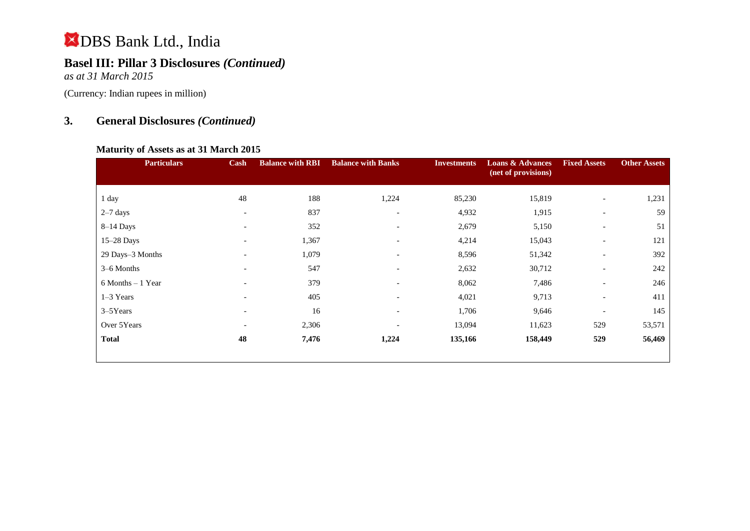## **Basel III: Pillar 3 Disclosures** *(Continued)*

*as at 31 March 2015*

(Currency: Indian rupees in million)

## **3. General Disclosures** *(Continued)*

#### **Maturity of Assets as at 31 March 2015**

| <b>Particulars</b> | Cash                     | <b>Balance with RBI</b> | <b>Balance with Banks</b> | <b>Investments</b> | <b>Loans &amp; Advances</b><br>(net of provisions) | <b>Fixed Assets</b>      | <b>Other Assets</b> |
|--------------------|--------------------------|-------------------------|---------------------------|--------------------|----------------------------------------------------|--------------------------|---------------------|
| 1 day              | 48                       | 188                     | 1,224                     | 85,230             | 15,819                                             | $\overline{\phantom{a}}$ | 1,231               |
| $2-7$ days         | $\overline{\phantom{a}}$ | 837                     | $\overline{\phantom{a}}$  | 4,932              | 1,915                                              | $\overline{\phantom{a}}$ | 59                  |
| $8-14$ Days        | $\overline{\phantom{a}}$ | 352                     | $\overline{\phantom{a}}$  | 2,679              | 5,150                                              | $\overline{\phantom{a}}$ | 51                  |
| 15-28 Days         | $\overline{\phantom{a}}$ | 1,367                   | $\overline{\phantom{0}}$  | 4,214              | 15,043                                             | $\overline{\phantom{a}}$ | 121                 |
| 29 Days-3 Months   | $\overline{\phantom{a}}$ | 1,079                   | $\overline{\phantom{0}}$  | 8,596              | 51,342                                             | $\overline{\phantom{a}}$ | 392                 |
| 3–6 Months         | $\overline{\phantom{0}}$ | 547                     | $\qquad \qquad$           | 2,632              | 30,712                                             | $\overline{\phantom{a}}$ | 242                 |
| 6 Months - 1 Year  | $\overline{\phantom{a}}$ | 379                     | $\overline{\phantom{a}}$  | 8,062              | 7,486                                              | $\overline{\phantom{a}}$ | 246                 |
| 1-3 Years          | $\overline{\phantom{a}}$ | 405                     | $\overline{\phantom{a}}$  | 4,021              | 9,713                                              | $\overline{\phantom{a}}$ | 411                 |
| $3-5$ Years        | $\overline{\phantom{a}}$ | 16                      | $\overline{\phantom{0}}$  | 1,706              | 9,646                                              | $\overline{\phantom{a}}$ | 145                 |
| Over 5Years        | $\overline{\phantom{0}}$ | 2,306                   | $\overline{\phantom{a}}$  | 13,094             | 11,623                                             | 529                      | 53,571              |
| <b>Total</b>       | 48                       | 7,476                   | 1,224                     | 135,166            | 158,449                                            | 529                      | 56,469              |
|                    |                          |                         |                           |                    |                                                    |                          |                     |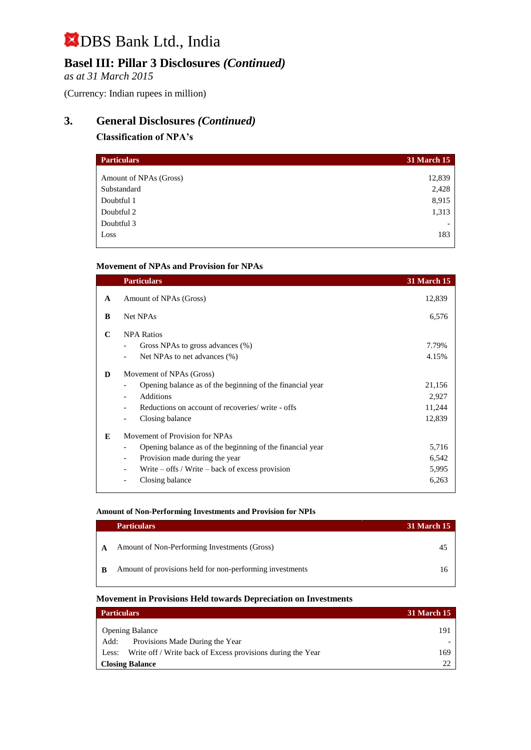## **Basel III: Pillar 3 Disclosures** *(Continued)*

*as at 31 March 2015*

(Currency: Indian rupees in million)

## **3. General Disclosures** *(Continued)*

#### **Classification of NPA's**

| <b>Particulars</b>     | <b>31 March 15</b> |
|------------------------|--------------------|
| Amount of NPAs (Gross) | 12,839             |
| Substandard            | 2,428              |
| Doubtful 1             | 8,915              |
| Doubtful 2             | 1,313              |
| Doubtful 3             |                    |
| Loss                   | 183                |

#### **Movement of NPAs and Provision for NPAs**

|              | <b>Particulars</b>                                             | <b>31 March 15</b> |
|--------------|----------------------------------------------------------------|--------------------|
| $\mathbf{A}$ | Amount of NPAs (Gross)                                         | 12,839             |
| B            | Net NPAs                                                       | 6,576              |
| C            | <b>NPA Ratios</b>                                              |                    |
|              | Gross NPAs to gross advances (%)                               | 7.79%              |
|              | Net NPAs to net advances (%)                                   | 4.15%              |
| D            | Movement of NPAs (Gross)                                       |                    |
|              | Opening balance as of the beginning of the financial year      | 21,156             |
|              | <b>Additions</b>                                               | 2,927              |
|              | Reductions on account of recoveries/write - offs               | 11,244             |
|              | Closing balance                                                | 12,839             |
| E            | Movement of Provision for NPAs                                 |                    |
|              | Opening balance as of the beginning of the financial year      | 5,716              |
|              | Provision made during the year<br>$\qquad \qquad \blacksquare$ | 6,542              |
|              | Write $-$ offs / Write $-$ back of excess provision            | 5,995              |
|              | Closing balance                                                | 6,263              |
|              |                                                                |                    |

#### **Amount of Non-Performing Investments and Provision for NPIs**

|   | <b>Particulars</b>                                       | <b>31 March 15</b> |
|---|----------------------------------------------------------|--------------------|
| A | Amount of Non-Performing Investments (Gross)             | 45                 |
| B | Amount of provisions held for non-performing investments | 16                 |

#### **Movement in Provisions Held towards Depreciation on Investments**

| <b>Particulars</b>                                                   | <b>31 March 15</b> |
|----------------------------------------------------------------------|--------------------|
| <b>Opening Balance</b>                                               | 191                |
| Provisions Made During the Year<br>Add:                              |                    |
| Write off / Write back of Excess provisions during the Year<br>Less: | 169                |
| <b>Closing Balance</b>                                               | 22                 |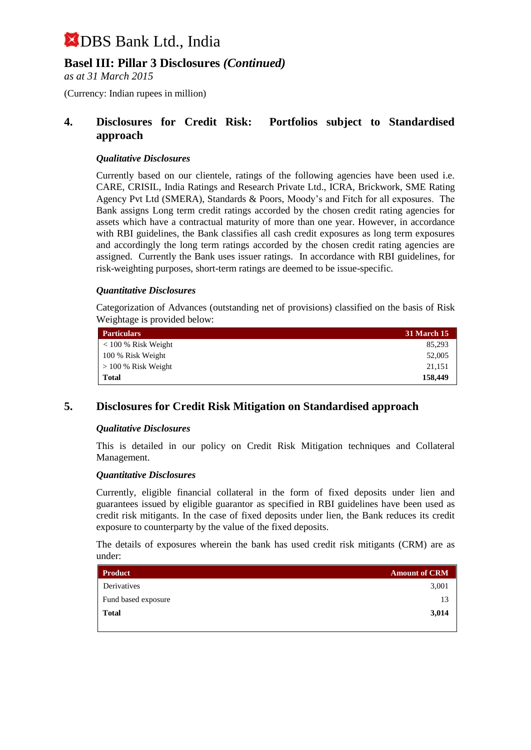## **Basel III: Pillar 3 Disclosures** *(Continued)*

*as at 31 March 2015*

(Currency: Indian rupees in million)

### **4. Disclosures for Credit Risk: Portfolios subject to Standardised approach**

#### *Qualitative Disclosures*

Currently based on our clientele, ratings of the following agencies have been used i.e. CARE, CRISIL, India Ratings and Research Private Ltd., ICRA, Brickwork, SME Rating Agency Pvt Ltd (SMERA), Standards & Poors, Moody's and Fitch for all exposures. The Bank assigns Long term credit ratings accorded by the chosen credit rating agencies for assets which have a contractual maturity of more than one year. However, in accordance with RBI guidelines, the Bank classifies all cash credit exposures as long term exposures and accordingly the long term ratings accorded by the chosen credit rating agencies are assigned. Currently the Bank uses issuer ratings. In accordance with RBI guidelines, for risk-weighting purposes, short-term ratings are deemed to be issue-specific.

#### *Quantitative Disclosures*

Categorization of Advances (outstanding net of provisions) classified on the basis of Risk Weightage is provided below:

| <b>Particulars</b>       | <b>31 March 15</b> |  |  |
|--------------------------|--------------------|--|--|
| $< 100 %$ Risk Weight    | 85.293             |  |  |
| 100 % Risk Weight        | 52,005             |  |  |
| $\geq$ 100 % Risk Weight | 21,151             |  |  |
| Total                    | 158,449            |  |  |

## **5. Disclosures for Credit Risk Mitigation on Standardised approach**

#### *Qualitative Disclosures*

This is detailed in our policy on Credit Risk Mitigation techniques and Collateral Management.

#### *Quantitative Disclosures*

Currently, eligible financial collateral in the form of fixed deposits under lien and guarantees issued by eligible guarantor as specified in RBI guidelines have been used as credit risk mitigants. In the case of fixed deposits under lien, the Bank reduces its credit exposure to counterparty by the value of the fixed deposits.

The details of exposures wherein the bank has used credit risk mitigants (CRM) are as under:

| <b>Product</b>      | <b>Amount of CRM</b> |
|---------------------|----------------------|
| Derivatives         | 3,001                |
| Fund based exposure | 13                   |
| <b>Total</b>        | 3,014                |
|                     |                      |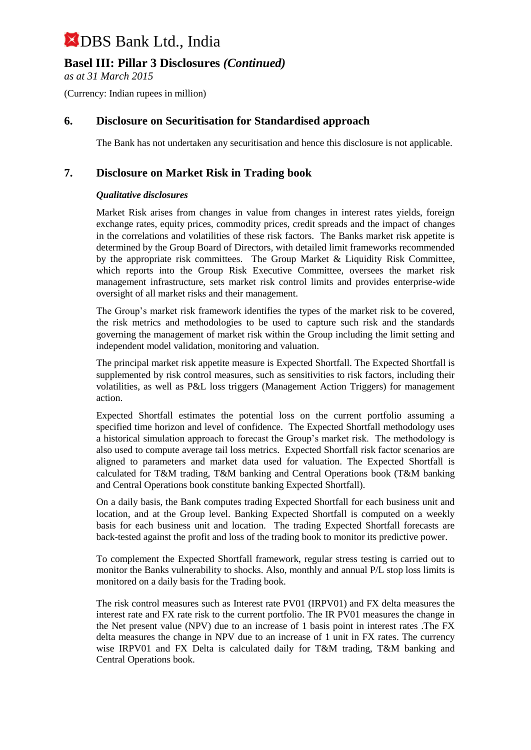## **Basel III: Pillar 3 Disclosures** *(Continued)*

*as at 31 March 2015*

(Currency: Indian rupees in million)

### **6. Disclosure on Securitisation for Standardised approach**

The Bank has not undertaken any securitisation and hence this disclosure is not applicable.

### **7. Disclosure on Market Risk in Trading book**

#### *Qualitative disclosures*

Market Risk arises from changes in value from changes in interest rates yields, foreign exchange rates, equity prices, commodity prices, credit spreads and the impact of changes in the correlations and volatilities of these risk factors. The Banks market risk appetite is determined by the Group Board of Directors, with detailed limit frameworks recommended by the appropriate risk committees. The Group Market & Liquidity Risk Committee, which reports into the Group Risk Executive Committee, oversees the market risk management infrastructure, sets market risk control limits and provides enterprise-wide oversight of all market risks and their management.

The Group's market risk framework identifies the types of the market risk to be covered, the risk metrics and methodologies to be used to capture such risk and the standards governing the management of market risk within the Group including the limit setting and independent model validation, monitoring and valuation.

The principal market risk appetite measure is Expected Shortfall. The Expected Shortfall is supplemented by risk control measures, such as sensitivities to risk factors, including their volatilities, as well as P&L loss triggers (Management Action Triggers) for management action.

Expected Shortfall estimates the potential loss on the current portfolio assuming a specified time horizon and level of confidence. The Expected Shortfall methodology uses a historical simulation approach to forecast the Group's market risk. The methodology is also used to compute average tail loss metrics. Expected Shortfall risk factor scenarios are aligned to parameters and market data used for valuation. The Expected Shortfall is calculated for T&M trading, T&M banking and Central Operations book (T&M banking and Central Operations book constitute banking Expected Shortfall).

On a daily basis, the Bank computes trading Expected Shortfall for each business unit and location, and at the Group level. Banking Expected Shortfall is computed on a weekly basis for each business unit and location. The trading Expected Shortfall forecasts are back-tested against the profit and loss of the trading book to monitor its predictive power.

To complement the Expected Shortfall framework, regular stress testing is carried out to monitor the Banks vulnerability to shocks. Also, monthly and annual P/L stop loss limits is monitored on a daily basis for the Trading book.

The risk control measures such as Interest rate PV01 (IRPV01) and FX delta measures the interest rate and FX rate risk to the current portfolio. The IR PV01 measures the change in the Net present value (NPV) due to an increase of 1 basis point in interest rates .The FX delta measures the change in NPV due to an increase of 1 unit in FX rates. The currency wise IRPV01 and FX Delta is calculated daily for T&M trading, T&M banking and Central Operations book.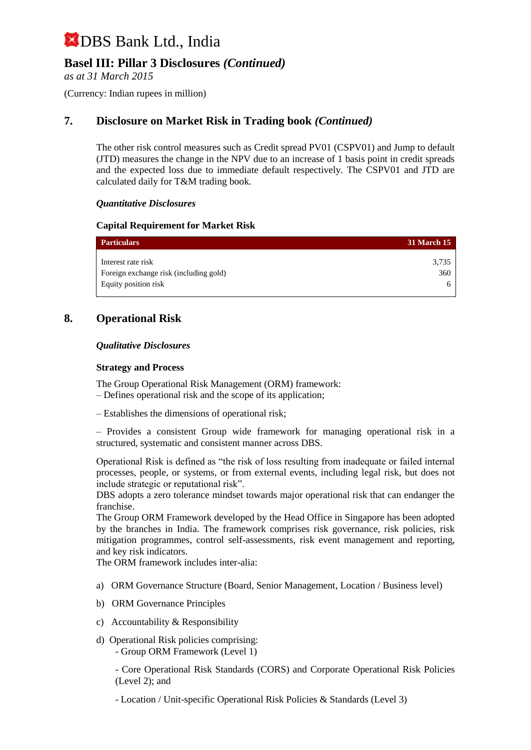## **Basel III: Pillar 3 Disclosures** *(Continued)*

*as at 31 March 2015*

(Currency: Indian rupees in million)

## **7. Disclosure on Market Risk in Trading book** *(Continued)*

The other risk control measures such as Credit spread PV01 (CSPV01) and Jump to default (JTD) measures the change in the NPV due to an increase of 1 basis point in credit spreads and the expected loss due to immediate default respectively. The CSPV01 and JTD are calculated daily for T&M trading book.

#### *Quantitative Disclosures*

#### **Capital Requirement for Market Risk**

| <b>Particulars</b>                     | <b>31 March 15</b> |
|----------------------------------------|--------------------|
| Interest rate risk                     | 3,735              |
| Foreign exchange risk (including gold) | 360                |
| Equity position risk                   | <sub>n</sub>       |

#### **8. Operational Risk**

#### *Qualitative Disclosures*

#### **Strategy and Process**

The Group Operational Risk Management (ORM) framework: – Defines operational risk and the scope of its application;

– Establishes the dimensions of operational risk;

– Provides a consistent Group wide framework for managing operational risk in a structured, systematic and consistent manner across DBS.

Operational Risk is defined as "the risk of loss resulting from inadequate or failed internal processes, people, or systems, or from external events, including legal risk, but does not include strategic or reputational risk".

DBS adopts a zero tolerance mindset towards major operational risk that can endanger the franchise.

The Group ORM Framework developed by the Head Office in Singapore has been adopted by the branches in India. The framework comprises risk governance, risk policies, risk mitigation programmes, control self-assessments, risk event management and reporting, and key risk indicators.

The ORM framework includes inter-alia:

- a) ORM Governance Structure (Board, Senior Management, Location / Business level)
- b) ORM Governance Principles
- c) Accountability & Responsibility
- d) Operational Risk policies comprising: - Group ORM Framework (Level 1)

- Core Operational Risk Standards (CORS) and Corporate Operational Risk Policies (Level 2); and

- Location / Unit-specific Operational Risk Policies & Standards (Level 3)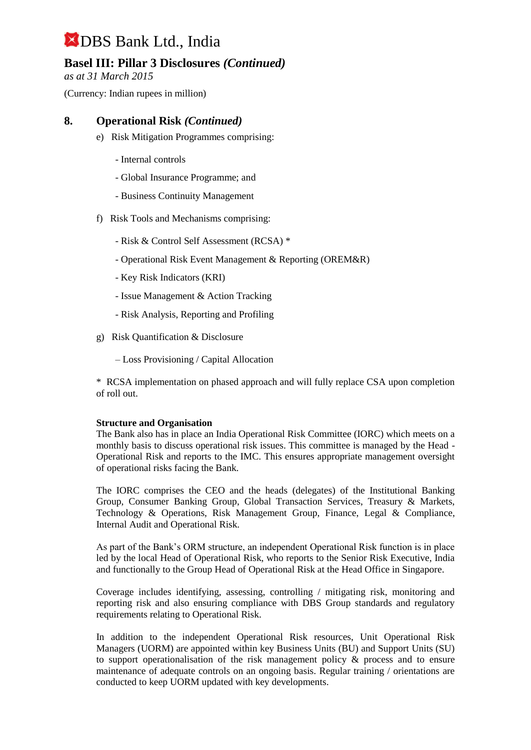## **Basel III: Pillar 3 Disclosures** *(Continued)*

*as at 31 March 2015*

(Currency: Indian rupees in million)

### **8. Operational Risk** *(Continued)*

- e) Risk Mitigation Programmes comprising:
	- Internal controls
	- Global Insurance Programme; and
	- Business Continuity Management
- f) Risk Tools and Mechanisms comprising:
	- Risk & Control Self Assessment (RCSA) \*
	- Operational Risk Event Management & Reporting (OREM&R)
	- Key Risk Indicators (KRI)
	- Issue Management & Action Tracking
	- Risk Analysis, Reporting and Profiling
- g) Risk Quantification & Disclosure
	- Loss Provisioning / Capital Allocation

\* RCSA implementation on phased approach and will fully replace CSA upon completion of roll out.

#### **Structure and Organisation**

The Bank also has in place an India Operational Risk Committee (IORC) which meets on a monthly basis to discuss operational risk issues. This committee is managed by the Head - Operational Risk and reports to the IMC. This ensures appropriate management oversight of operational risks facing the Bank.

The IORC comprises the CEO and the heads (delegates) of the Institutional Banking Group, Consumer Banking Group, Global Transaction Services, Treasury & Markets, Technology & Operations, Risk Management Group, Finance, Legal & Compliance, Internal Audit and Operational Risk.

As part of the Bank's ORM structure, an independent Operational Risk function is in place led by the local Head of Operational Risk, who reports to the Senior Risk Executive, India and functionally to the Group Head of Operational Risk at the Head Office in Singapore.

Coverage includes identifying, assessing, controlling / mitigating risk, monitoring and reporting risk and also ensuring compliance with DBS Group standards and regulatory requirements relating to Operational Risk.

In addition to the independent Operational Risk resources, Unit Operational Risk Managers (UORM) are appointed within key Business Units (BU) and Support Units (SU) to support operationalisation of the risk management policy & process and to ensure maintenance of adequate controls on an ongoing basis. Regular training / orientations are conducted to keep UORM updated with key developments.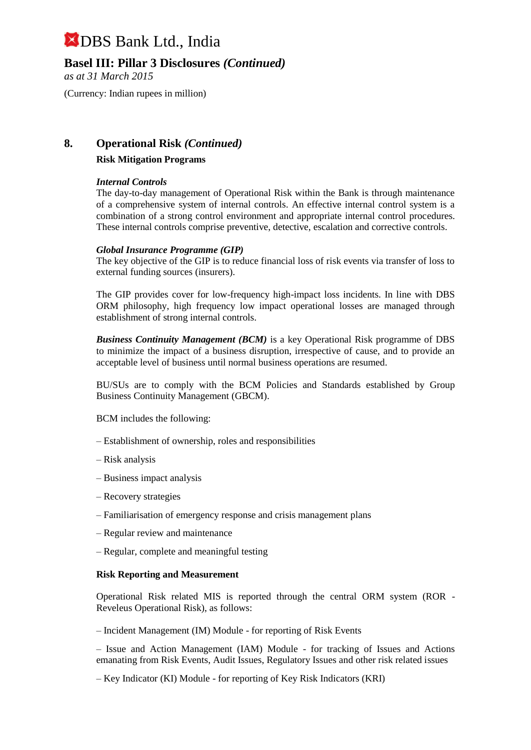**Basel III: Pillar 3 Disclosures** *(Continued)*

*as at 31 March 2015*

(Currency: Indian rupees in million)

### **8. Operational Risk** *(Continued)*

#### **Risk Mitigation Programs**

#### *Internal Controls*

The day-to-day management of Operational Risk within the Bank is through maintenance of a comprehensive system of internal controls. An effective internal control system is a combination of a strong control environment and appropriate internal control procedures. These internal controls comprise preventive, detective, escalation and corrective controls.

#### *Global Insurance Programme (GIP)*

The key objective of the GIP is to reduce financial loss of risk events via transfer of loss to external funding sources (insurers).

The GIP provides cover for low-frequency high-impact loss incidents. In line with DBS ORM philosophy, high frequency low impact operational losses are managed through establishment of strong internal controls.

*Business Continuity Management (BCM)* is a key Operational Risk programme of DBS to minimize the impact of a business disruption, irrespective of cause, and to provide an acceptable level of business until normal business operations are resumed.

BU/SUs are to comply with the BCM Policies and Standards established by Group Business Continuity Management (GBCM).

BCM includes the following:

- Establishment of ownership, roles and responsibilities
- Risk analysis
- Business impact analysis
- Recovery strategies
- Familiarisation of emergency response and crisis management plans
- Regular review and maintenance
- Regular, complete and meaningful testing

#### **Risk Reporting and Measurement**

Operational Risk related MIS is reported through the central ORM system (ROR - Reveleus Operational Risk), as follows:

– Incident Management (IM) Module - for reporting of Risk Events

– Issue and Action Management (IAM) Module - for tracking of Issues and Actions emanating from Risk Events, Audit Issues, Regulatory Issues and other risk related issues

– Key Indicator (KI) Module - for reporting of Key Risk Indicators (KRI)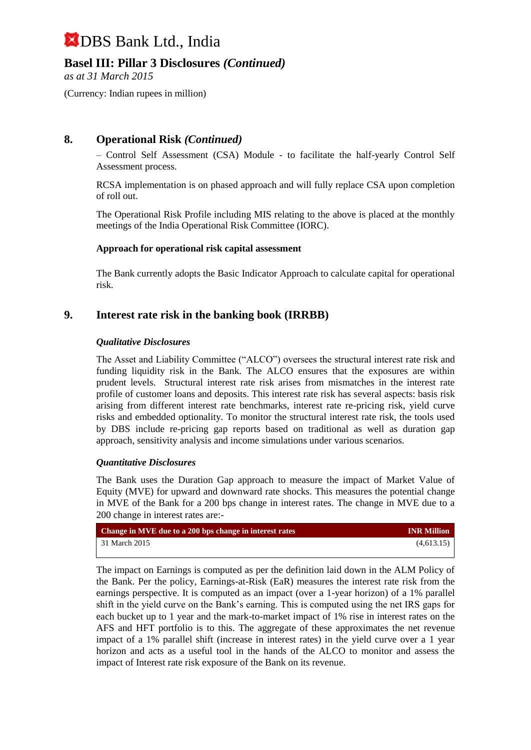## **Basel III: Pillar 3 Disclosures** *(Continued)*

*as at 31 March 2015*

(Currency: Indian rupees in million)

## **8. Operational Risk** *(Continued)*

– Control Self Assessment (CSA) Module - to facilitate the half-yearly Control Self Assessment process.

RCSA implementation is on phased approach and will fully replace CSA upon completion of roll out.

The Operational Risk Profile including MIS relating to the above is placed at the monthly meetings of the India Operational Risk Committee (IORC).

#### **Approach for operational risk capital assessment**

The Bank currently adopts the Basic Indicator Approach to calculate capital for operational risk.

#### **9. Interest rate risk in the banking book (IRRBB)**

#### *Qualitative Disclosures*

The Asset and Liability Committee ("ALCO") oversees the structural interest rate risk and funding liquidity risk in the Bank. The ALCO ensures that the exposures are within prudent levels. Structural interest rate risk arises from mismatches in the interest rate profile of customer loans and deposits. This interest rate risk has several aspects: basis risk arising from different interest rate benchmarks, interest rate re-pricing risk, yield curve risks and embedded optionality. To monitor the structural interest rate risk, the tools used by DBS include re-pricing gap reports based on traditional as well as duration gap approach, sensitivity analysis and income simulations under various scenarios.

#### *Quantitative Disclosures*

The Bank uses the Duration Gap approach to measure the impact of Market Value of Equity (MVE) for upward and downward rate shocks. This measures the potential change in MVE of the Bank for a 200 bps change in interest rates. The change in MVE due to a 200 change in interest rates are:-

| Change in MVE due to a 200 bps change in interest rates | <b>INR Million</b> |
|---------------------------------------------------------|--------------------|
| 31 March 2015                                           | (4,613.15)         |
|                                                         |                    |

The impact on Earnings is computed as per the definition laid down in the ALM Policy of the Bank. Per the policy, Earnings-at-Risk (EaR) measures the interest rate risk from the earnings perspective. It is computed as an impact (over a 1-year horizon) of a 1% parallel shift in the yield curve on the Bank's earning. This is computed using the net IRS gaps for each bucket up to 1 year and the mark-to-market impact of 1% rise in interest rates on the AFS and HFT portfolio is to this. The aggregate of these approximates the net revenue impact of a 1% parallel shift (increase in interest rates) in the yield curve over a 1 year horizon and acts as a useful tool in the hands of the ALCO to monitor and assess the impact of Interest rate risk exposure of the Bank on its revenue.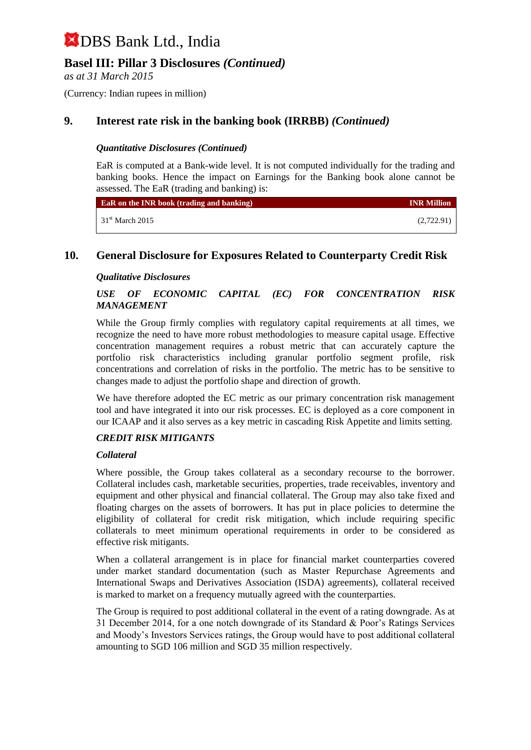## **Basel III: Pillar 3 Disclosures** *(Continued)*

*as at 31 March 2015*

(Currency: Indian rupees in million)

## **9. Interest rate risk in the banking book (IRRBB)** *(Continued)*

#### *Quantitative Disclosures (Continued)*

EaR is computed at a Bank-wide level. It is not computed individually for the trading and banking books. Hence the impact on Earnings for the Banking book alone cannot be assessed. The EaR (trading and banking) is:

| <b>EaR</b> on the INR book (trading and banking) | <b>INR Million</b> |
|--------------------------------------------------|--------------------|
| $31st$ March 2015                                | (2,722.91)         |

#### **10. General Disclosure for Exposures Related to Counterparty Credit Risk**

#### *Qualitative Disclosures*

#### *USE OF ECONOMIC CAPITAL (EC) FOR CONCENTRATION RISK MANAGEMENT*

While the Group firmly complies with regulatory capital requirements at all times, we recognize the need to have more robust methodologies to measure capital usage. Effective concentration management requires a robust metric that can accurately capture the portfolio risk characteristics including granular portfolio segment profile, risk concentrations and correlation of risks in the portfolio. The metric has to be sensitive to changes made to adjust the portfolio shape and direction of growth.

We have therefore adopted the EC metric as our primary concentration risk management tool and have integrated it into our risk processes. EC is deployed as a core component in our ICAAP and it also serves as a key metric in cascading Risk Appetite and limits setting.

#### *CREDIT RISK MITIGANTS*

#### *Collateral*

Where possible, the Group takes collateral as a secondary recourse to the borrower. Collateral includes cash, marketable securities, properties, trade receivables, inventory and equipment and other physical and financial collateral. The Group may also take fixed and floating charges on the assets of borrowers. It has put in place policies to determine the eligibility of collateral for credit risk mitigation, which include requiring specific collaterals to meet minimum operational requirements in order to be considered as effective risk mitigants.

When a collateral arrangement is in place for financial market counterparties covered under market standard documentation (such as Master Repurchase Agreements and International Swaps and Derivatives Association (ISDA) agreements), collateral received is marked to market on a frequency mutually agreed with the counterparties.

The Group is required to post additional collateral in the event of a rating downgrade. As at 31 December 2014, for a one notch downgrade of its Standard & Poor's Ratings Services and Moody's Investors Services ratings, the Group would have to post additional collateral amounting to SGD 106 million and SGD 35 million respectively.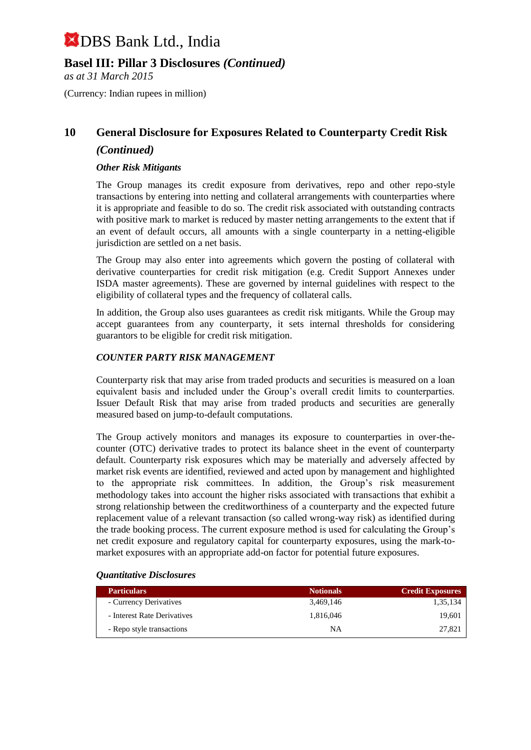**Basel III: Pillar 3 Disclosures** *(Continued)*

*as at 31 March 2015*

(Currency: Indian rupees in million)

# **10 General Disclosure for Exposures Related to Counterparty Credit Risk**

### *(Continued)*

#### *Other Risk Mitigants*

The Group manages its credit exposure from derivatives, repo and other repo-style transactions by entering into netting and collateral arrangements with counterparties where it is appropriate and feasible to do so. The credit risk associated with outstanding contracts with positive mark to market is reduced by master netting arrangements to the extent that if an event of default occurs, all amounts with a single counterparty in a netting-eligible jurisdiction are settled on a net basis.

The Group may also enter into agreements which govern the posting of collateral with derivative counterparties for credit risk mitigation (e.g. Credit Support Annexes under ISDA master agreements). These are governed by internal guidelines with respect to the eligibility of collateral types and the frequency of collateral calls.

In addition, the Group also uses guarantees as credit risk mitigants. While the Group may accept guarantees from any counterparty, it sets internal thresholds for considering guarantors to be eligible for credit risk mitigation.

#### *COUNTER PARTY RISK MANAGEMENT*

Counterparty risk that may arise from traded products and securities is measured on a loan equivalent basis and included under the Group's overall credit limits to counterparties. Issuer Default Risk that may arise from traded products and securities are generally measured based on jump-to-default computations.

The Group actively monitors and manages its exposure to counterparties in over-thecounter (OTC) derivative trades to protect its balance sheet in the event of counterparty default. Counterparty risk exposures which may be materially and adversely affected by market risk events are identified, reviewed and acted upon by management and highlighted to the appropriate risk committees. In addition, the Group's risk measurement methodology takes into account the higher risks associated with transactions that exhibit a strong relationship between the creditworthiness of a counterparty and the expected future replacement value of a relevant transaction (so called wrong-way risk) as identified during the trade booking process. The current exposure method is used for calculating the Group's net credit exposure and regulatory capital for counterparty exposures, using the mark-tomarket exposures with an appropriate add-on factor for potential future exposures.

| <b>Particulars</b>          | <b>Notionals</b> | <b>Credit Exposures</b> |
|-----------------------------|------------------|-------------------------|
| - Currency Derivatives      | 3.469.146        | 1,35,134                |
| - Interest Rate Derivatives | 1.816.046        | 19.601                  |
| - Repo style transactions   | ΝA               | 27,821                  |

#### *Quantitative Disclosures*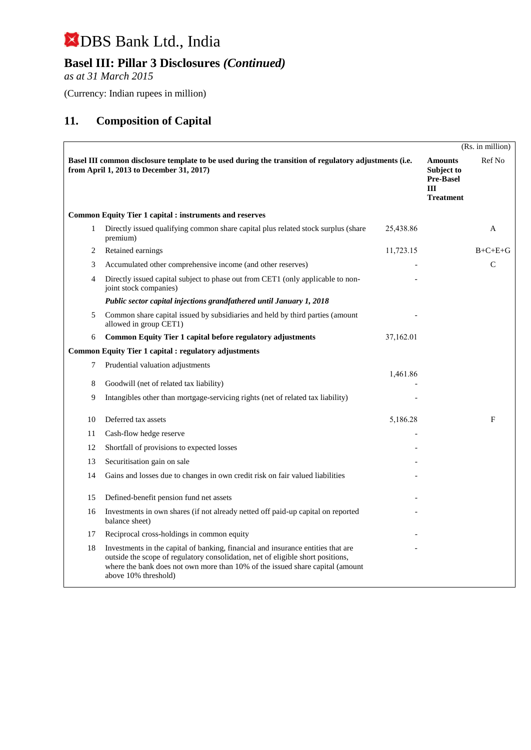## **Basel III: Pillar 3 Disclosures** *(Continued)*

*as at 31 March 2015*

(Currency: Indian rupees in million)

## **11. Composition of Capital**

|    |                                                                                                                                                                                                                                                                              |           |                                                                                  | (Rs. in million) |
|----|------------------------------------------------------------------------------------------------------------------------------------------------------------------------------------------------------------------------------------------------------------------------------|-----------|----------------------------------------------------------------------------------|------------------|
|    | Basel III common disclosure template to be used during the transition of regulatory adjustments (i.e.<br>from April 1, 2013 to December 31, 2017)                                                                                                                            |           | <b>Amounts</b><br><b>Subject to</b><br><b>Pre-Basel</b><br>Ш<br><b>Treatment</b> | Ref No           |
|    | <b>Common Equity Tier 1 capital : instruments and reserves</b>                                                                                                                                                                                                               |           |                                                                                  |                  |
| 1  | Directly issued qualifying common share capital plus related stock surplus (share<br>premium)                                                                                                                                                                                | 25,438.86 |                                                                                  | A                |
| 2  | Retained earnings                                                                                                                                                                                                                                                            | 11,723.15 |                                                                                  | $B+C+E+G$        |
| 3  | Accumulated other comprehensive income (and other reserves)                                                                                                                                                                                                                  |           |                                                                                  | C                |
| 4  | Directly issued capital subject to phase out from CET1 (only applicable to non-<br>joint stock companies)                                                                                                                                                                    |           |                                                                                  |                  |
|    | Public sector capital injections grandfathered until January 1, 2018                                                                                                                                                                                                         |           |                                                                                  |                  |
| 5  | Common share capital issued by subsidiaries and held by third parties (amount<br>allowed in group CET1)                                                                                                                                                                      |           |                                                                                  |                  |
| 6  | Common Equity Tier 1 capital before regulatory adjustments                                                                                                                                                                                                                   | 37,162.01 |                                                                                  |                  |
|    | <b>Common Equity Tier 1 capital : regulatory adjustments</b>                                                                                                                                                                                                                 |           |                                                                                  |                  |
| 7  | Prudential valuation adjustments                                                                                                                                                                                                                                             |           |                                                                                  |                  |
| 8  | Goodwill (net of related tax liability)                                                                                                                                                                                                                                      | 1,461.86  |                                                                                  |                  |
| 9  | Intangibles other than mortgage-servicing rights (net of related tax liability)                                                                                                                                                                                              |           |                                                                                  |                  |
| 10 | Deferred tax assets                                                                                                                                                                                                                                                          | 5,186.28  |                                                                                  | F                |
| 11 | Cash-flow hedge reserve                                                                                                                                                                                                                                                      |           |                                                                                  |                  |
| 12 | Shortfall of provisions to expected losses                                                                                                                                                                                                                                   |           |                                                                                  |                  |
| 13 | Securitisation gain on sale                                                                                                                                                                                                                                                  |           |                                                                                  |                  |
| 14 | Gains and losses due to changes in own credit risk on fair valued liabilities                                                                                                                                                                                                |           |                                                                                  |                  |
| 15 | Defined-benefit pension fund net assets                                                                                                                                                                                                                                      |           |                                                                                  |                  |
| 16 | Investments in own shares (if not already netted off paid-up capital on reported<br>balance sheet)                                                                                                                                                                           |           |                                                                                  |                  |
| 17 | Reciprocal cross-holdings in common equity                                                                                                                                                                                                                                   |           |                                                                                  |                  |
| 18 | Investments in the capital of banking, financial and insurance entities that are<br>outside the scope of regulatory consolidation, net of eligible short positions,<br>where the bank does not own more than 10% of the issued share capital (amount<br>above 10% threshold) |           |                                                                                  |                  |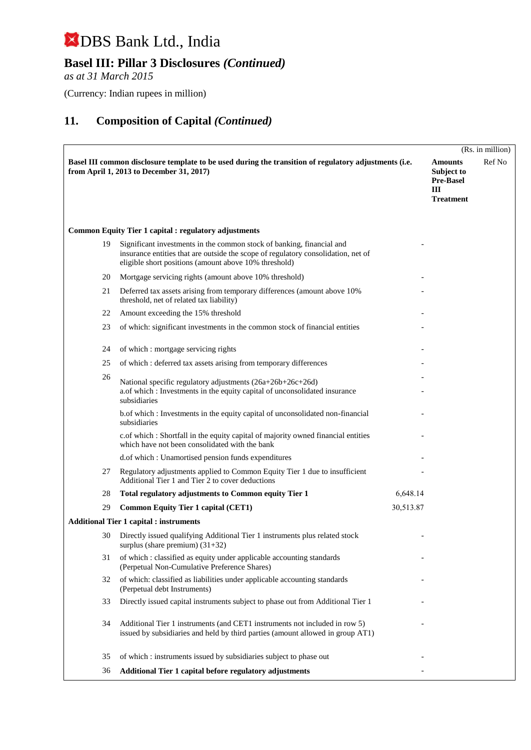## **Basel III: Pillar 3 Disclosures** *(Continued)*

*as at 31 March 2015*

(Currency: Indian rupees in million)

|    |                                                                                                                                                                                                                     |           | (Rs. in million)                                                          |        |
|----|---------------------------------------------------------------------------------------------------------------------------------------------------------------------------------------------------------------------|-----------|---------------------------------------------------------------------------|--------|
|    | Basel III common disclosure template to be used during the transition of regulatory adjustments (i.e.<br>from April 1, 2013 to December 31, 2017)                                                                   |           | <b>Amounts</b><br>Subject to<br><b>Pre-Basel</b><br>Ш<br><b>Treatment</b> | Ref No |
|    | <b>Common Equity Tier 1 capital : regulatory adjustments</b>                                                                                                                                                        |           |                                                                           |        |
| 19 | Significant investments in the common stock of banking, financial and<br>insurance entities that are outside the scope of regulatory consolidation, net of<br>eligible short positions (amount above 10% threshold) |           |                                                                           |        |
| 20 | Mortgage servicing rights (amount above 10% threshold)                                                                                                                                                              |           |                                                                           |        |
| 21 | Deferred tax assets arising from temporary differences (amount above 10%)<br>threshold, net of related tax liability)                                                                                               |           |                                                                           |        |
| 22 | Amount exceeding the 15% threshold                                                                                                                                                                                  |           |                                                                           |        |
| 23 | of which: significant investments in the common stock of financial entities                                                                                                                                         |           |                                                                           |        |
| 24 | of which : mortgage servicing rights                                                                                                                                                                                |           |                                                                           |        |
| 25 | of which: deferred tax assets arising from temporary differences                                                                                                                                                    |           |                                                                           |        |
| 26 | National specific regulatory adjustments (26a+26b+26c+26d)<br>a.of which : Investments in the equity capital of unconsolidated insurance<br>subsidiaries                                                            |           |                                                                           |        |
|    | b.of which : Investments in the equity capital of unconsolidated non-financial<br>subsidiaries                                                                                                                      |           |                                                                           |        |
|    | c.of which : Shortfall in the equity capital of majority owned financial entities<br>which have not been consolidated with the bank                                                                                 |           |                                                                           |        |
|    | d.of which: Unamortised pension funds expenditures                                                                                                                                                                  |           |                                                                           |        |
| 27 | Regulatory adjustments applied to Common Equity Tier 1 due to insufficient<br>Additional Tier 1 and Tier 2 to cover deductions                                                                                      |           |                                                                           |        |
| 28 | Total regulatory adjustments to Common equity Tier 1                                                                                                                                                                | 6,648.14  |                                                                           |        |
| 29 | <b>Common Equity Tier 1 capital (CET1)</b>                                                                                                                                                                          | 30,513.87 |                                                                           |        |
|    | <b>Additional Tier 1 capital : instruments</b>                                                                                                                                                                      |           |                                                                           |        |
| 30 | Directly issued qualifying Additional Tier 1 instruments plus related stock<br>surplus (share premium) $(31+32)$                                                                                                    |           |                                                                           |        |
| 31 | of which : classified as equity under applicable accounting standards<br>(Perpetual Non-Cumulative Preference Shares)                                                                                               |           |                                                                           |        |
| 32 | of which: classified as liabilities under applicable accounting standards<br>(Perpetual debt Instruments)                                                                                                           |           |                                                                           |        |
| 33 | Directly issued capital instruments subject to phase out from Additional Tier 1                                                                                                                                     |           |                                                                           |        |
| 34 | Additional Tier 1 instruments (and CET1 instruments not included in row 5)<br>issued by subsidiaries and held by third parties (amount allowed in group AT1)                                                        |           |                                                                           |        |
| 35 | of which: instruments issued by subsidiaries subject to phase out                                                                                                                                                   |           |                                                                           |        |
| 36 | Additional Tier 1 capital before regulatory adjustments                                                                                                                                                             |           |                                                                           |        |
|    |                                                                                                                                                                                                                     |           |                                                                           |        |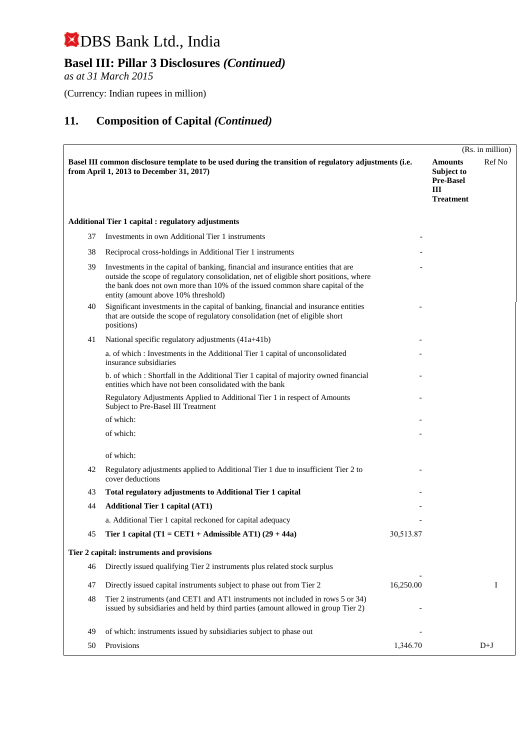## **Basel III: Pillar 3 Disclosures** *(Continued)*

*as at 31 March 2015*

(Currency: Indian rupees in million)

|    |                                                                                                                                                                                                                                                                                                   |           |                                                                                  | (Rs. in million) |
|----|---------------------------------------------------------------------------------------------------------------------------------------------------------------------------------------------------------------------------------------------------------------------------------------------------|-----------|----------------------------------------------------------------------------------|------------------|
|    | Basel III common disclosure template to be used during the transition of regulatory adjustments (i.e.<br>from April 1, 2013 to December 31, 2017)                                                                                                                                                 |           | <b>Amounts</b><br><b>Subject to</b><br><b>Pre-Basel</b><br>Ш<br><b>Treatment</b> | Ref No           |
|    | <b>Additional Tier 1 capital : regulatory adjustments</b>                                                                                                                                                                                                                                         |           |                                                                                  |                  |
| 37 | Investments in own Additional Tier 1 instruments                                                                                                                                                                                                                                                  |           |                                                                                  |                  |
| 38 | Reciprocal cross-holdings in Additional Tier 1 instruments                                                                                                                                                                                                                                        |           |                                                                                  |                  |
| 39 | Investments in the capital of banking, financial and insurance entities that are<br>outside the scope of regulatory consolidation, net of eligible short positions, where<br>the bank does not own more than 10% of the issued common share capital of the<br>entity (amount above 10% threshold) |           |                                                                                  |                  |
| 40 | Significant investments in the capital of banking, financial and insurance entities<br>that are outside the scope of regulatory consolidation (net of eligible short<br>positions)                                                                                                                |           |                                                                                  |                  |
| 41 | National specific regulatory adjustments (41a+41b)                                                                                                                                                                                                                                                |           |                                                                                  |                  |
|    | a. of which: Investments in the Additional Tier 1 capital of unconsolidated<br>insurance subsidiaries                                                                                                                                                                                             |           |                                                                                  |                  |
|    | b. of which: Shortfall in the Additional Tier 1 capital of majority owned financial<br>entities which have not been consolidated with the bank                                                                                                                                                    |           |                                                                                  |                  |
|    | Regulatory Adjustments Applied to Additional Tier 1 in respect of Amounts<br>Subject to Pre-Basel III Treatment                                                                                                                                                                                   |           |                                                                                  |                  |
|    | of which:                                                                                                                                                                                                                                                                                         |           |                                                                                  |                  |
|    | of which:                                                                                                                                                                                                                                                                                         |           |                                                                                  |                  |
|    | of which:                                                                                                                                                                                                                                                                                         |           |                                                                                  |                  |
| 42 | Regulatory adjustments applied to Additional Tier 1 due to insufficient Tier 2 to<br>cover deductions                                                                                                                                                                                             |           |                                                                                  |                  |
| 43 | Total regulatory adjustments to Additional Tier 1 capital                                                                                                                                                                                                                                         |           |                                                                                  |                  |
| 44 | <b>Additional Tier 1 capital (AT1)</b>                                                                                                                                                                                                                                                            |           |                                                                                  |                  |
|    | a. Additional Tier 1 capital reckoned for capital adequacy                                                                                                                                                                                                                                        |           |                                                                                  |                  |
| 45 | Tier 1 capital (T1 = CET1 + Admissible AT1) $(29 + 44a)$                                                                                                                                                                                                                                          | 30,513.87 |                                                                                  |                  |
|    | Tier 2 capital: instruments and provisions                                                                                                                                                                                                                                                        |           |                                                                                  |                  |
| 46 | Directly issued qualifying Tier 2 instruments plus related stock surplus                                                                                                                                                                                                                          |           |                                                                                  |                  |
| 47 | Directly issued capital instruments subject to phase out from Tier 2                                                                                                                                                                                                                              | 16,250.00 |                                                                                  | I                |
| 48 | Tier 2 instruments (and CET1 and AT1 instruments not included in rows 5 or 34)<br>issued by subsidiaries and held by third parties (amount allowed in group Tier 2)                                                                                                                               |           |                                                                                  |                  |
| 49 | of which: instruments issued by subsidiaries subject to phase out                                                                                                                                                                                                                                 |           |                                                                                  |                  |
| 50 | Provisions                                                                                                                                                                                                                                                                                        | 1,346.70  |                                                                                  | $D+J$            |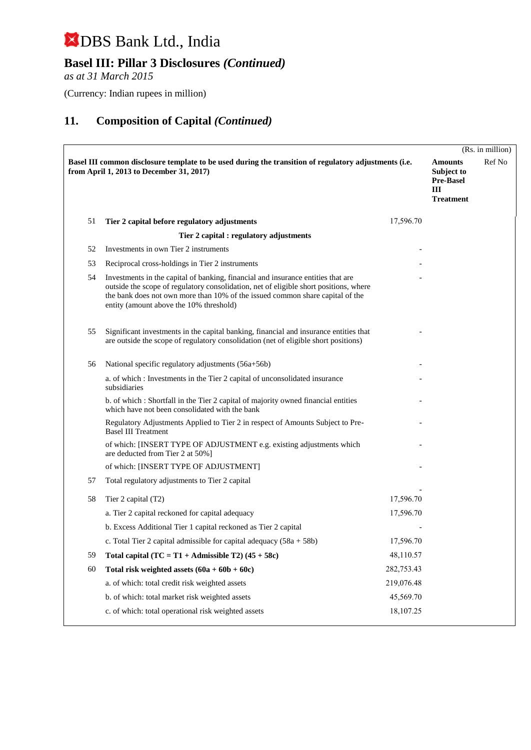## **Basel III: Pillar 3 Disclosures** *(Continued)*

*as at 31 March 2015*

(Currency: Indian rupees in million)

|    |                                                                                                                                                                                                                                                                                                       |            |                                                                           | (Rs. in million) |
|----|-------------------------------------------------------------------------------------------------------------------------------------------------------------------------------------------------------------------------------------------------------------------------------------------------------|------------|---------------------------------------------------------------------------|------------------|
|    | Basel III common disclosure template to be used during the transition of regulatory adjustments (i.e.<br>from April 1, 2013 to December 31, 2017)                                                                                                                                                     |            | <b>Amounts</b><br>Subject to<br><b>Pre-Basel</b><br>Ш<br><b>Treatment</b> | Ref No           |
| 51 | Tier 2 capital before regulatory adjustments                                                                                                                                                                                                                                                          | 17,596.70  |                                                                           |                  |
|    | Tier 2 capital : regulatory adjustments                                                                                                                                                                                                                                                               |            |                                                                           |                  |
| 52 | Investments in own Tier 2 instruments                                                                                                                                                                                                                                                                 |            |                                                                           |                  |
| 53 | Reciprocal cross-holdings in Tier 2 instruments                                                                                                                                                                                                                                                       |            |                                                                           |                  |
| 54 | Investments in the capital of banking, financial and insurance entities that are<br>outside the scope of regulatory consolidation, net of eligible short positions, where<br>the bank does not own more than 10% of the issued common share capital of the<br>entity (amount above the 10% threshold) |            |                                                                           |                  |
| 55 | Significant investments in the capital banking, financial and insurance entities that<br>are outside the scope of regulatory consolidation (net of eligible short positions)                                                                                                                          |            |                                                                           |                  |
| 56 | National specific regulatory adjustments (56a+56b)                                                                                                                                                                                                                                                    |            |                                                                           |                  |
|    | a. of which: Investments in the Tier 2 capital of unconsolidated insurance<br>subsidiaries                                                                                                                                                                                                            |            |                                                                           |                  |
|    | b. of which: Shortfall in the Tier 2 capital of majority owned financial entities<br>which have not been consolidated with the bank                                                                                                                                                                   |            |                                                                           |                  |
|    | Regulatory Adjustments Applied to Tier 2 in respect of Amounts Subject to Pre-<br><b>Basel III Treatment</b>                                                                                                                                                                                          |            |                                                                           |                  |
|    | of which: [INSERT TYPE OF ADJUSTMENT e.g. existing adjustments which<br>are deducted from Tier 2 at 50%]                                                                                                                                                                                              |            |                                                                           |                  |
|    | of which: [INSERT TYPE OF ADJUSTMENT]                                                                                                                                                                                                                                                                 |            |                                                                           |                  |
| 57 | Total regulatory adjustments to Tier 2 capital                                                                                                                                                                                                                                                        |            |                                                                           |                  |
| 58 | Tier 2 capital (T2)                                                                                                                                                                                                                                                                                   | 17,596.70  |                                                                           |                  |
|    | a. Tier 2 capital reckoned for capital adequacy                                                                                                                                                                                                                                                       | 17,596.70  |                                                                           |                  |
|    | b. Excess Additional Tier 1 capital reckoned as Tier 2 capital                                                                                                                                                                                                                                        |            |                                                                           |                  |
|    | c. Total Tier 2 capital admissible for capital adequacy $(58a + 58b)$                                                                                                                                                                                                                                 | 17,596.70  |                                                                           |                  |
| 59 | Total capital $(TC = T1 + \text{Admissible } T2)$ (45 + 58c)                                                                                                                                                                                                                                          | 48,110.57  |                                                                           |                  |
| 60 | Total risk weighted assets $(60a + 60b + 60c)$                                                                                                                                                                                                                                                        | 282,753.43 |                                                                           |                  |
|    | a. of which: total credit risk weighted assets                                                                                                                                                                                                                                                        | 219,076.48 |                                                                           |                  |
|    | b. of which: total market risk weighted assets                                                                                                                                                                                                                                                        | 45,569.70  |                                                                           |                  |
|    | c. of which: total operational risk weighted assets                                                                                                                                                                                                                                                   | 18,107.25  |                                                                           |                  |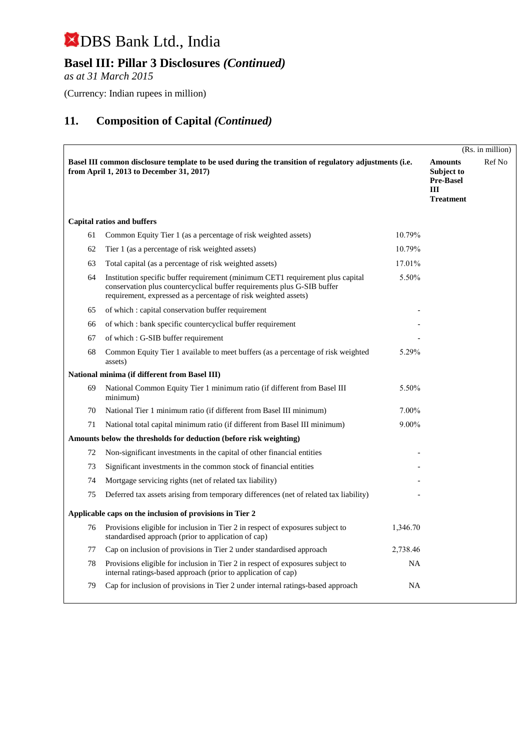## **Basel III: Pillar 3 Disclosures** *(Continued)*

*as at 31 March 2015*

(Currency: Indian rupees in million)

|    |                                                                                                                                                                                                                               |           |                                                                                    | (Rs. in million) |
|----|-------------------------------------------------------------------------------------------------------------------------------------------------------------------------------------------------------------------------------|-----------|------------------------------------------------------------------------------------|------------------|
|    | Basel III common disclosure template to be used during the transition of regulatory adjustments (i.e.<br>from April 1, 2013 to December 31, 2017)                                                                             |           | <b>Amounts</b><br><b>Subject to</b><br><b>Pre-Basel</b><br>III<br><b>Treatment</b> | Ref No           |
|    | <b>Capital ratios and buffers</b>                                                                                                                                                                                             |           |                                                                                    |                  |
| 61 | Common Equity Tier 1 (as a percentage of risk weighted assets)                                                                                                                                                                | 10.79%    |                                                                                    |                  |
| 62 | Tier 1 (as a percentage of risk weighted assets)                                                                                                                                                                              | 10.79%    |                                                                                    |                  |
| 63 | Total capital (as a percentage of risk weighted assets)                                                                                                                                                                       | 17.01%    |                                                                                    |                  |
| 64 | Institution specific buffer requirement (minimum CET1 requirement plus capital)<br>conservation plus countercyclical buffer requirements plus G-SIB buffer<br>requirement, expressed as a percentage of risk weighted assets) | 5.50%     |                                                                                    |                  |
| 65 | of which: capital conservation buffer requirement                                                                                                                                                                             |           |                                                                                    |                  |
| 66 | of which: bank specific countercyclical buffer requirement                                                                                                                                                                    |           |                                                                                    |                  |
| 67 | of which : G-SIB buffer requirement                                                                                                                                                                                           |           |                                                                                    |                  |
| 68 | Common Equity Tier 1 available to meet buffers (as a percentage of risk weighted<br>assets)                                                                                                                                   | 5.29%     |                                                                                    |                  |
|    | National minima (if different from Basel III)                                                                                                                                                                                 |           |                                                                                    |                  |
| 69 | National Common Equity Tier 1 minimum ratio (if different from Basel III)<br>minimum)                                                                                                                                         | 5.50%     |                                                                                    |                  |
| 70 | National Tier 1 minimum ratio (if different from Basel III minimum)                                                                                                                                                           | 7.00%     |                                                                                    |                  |
| 71 | National total capital minimum ratio (if different from Basel III minimum)                                                                                                                                                    | 9.00%     |                                                                                    |                  |
|    | Amounts below the thresholds for deduction (before risk weighting)                                                                                                                                                            |           |                                                                                    |                  |
| 72 | Non-significant investments in the capital of other financial entities                                                                                                                                                        |           |                                                                                    |                  |
| 73 | Significant investments in the common stock of financial entities                                                                                                                                                             |           |                                                                                    |                  |
| 74 | Mortgage servicing rights (net of related tax liability)                                                                                                                                                                      |           |                                                                                    |                  |
| 75 | Deferred tax assets arising from temporary differences (net of related tax liability)                                                                                                                                         |           |                                                                                    |                  |
|    | Applicable caps on the inclusion of provisions in Tier 2                                                                                                                                                                      |           |                                                                                    |                  |
| 76 | Provisions eligible for inclusion in Tier 2 in respect of exposures subject to<br>standardised approach (prior to application of cap)                                                                                         | 1,346.70  |                                                                                    |                  |
| 77 | Cap on inclusion of provisions in Tier 2 under standardised approach                                                                                                                                                          | 2,738.46  |                                                                                    |                  |
| 78 | Provisions eligible for inclusion in Tier 2 in respect of exposures subject to<br>internal ratings-based approach (prior to application of cap)                                                                               | <b>NA</b> |                                                                                    |                  |
| 79 | Cap for inclusion of provisions in Tier 2 under internal ratings-based approach                                                                                                                                               | NA        |                                                                                    |                  |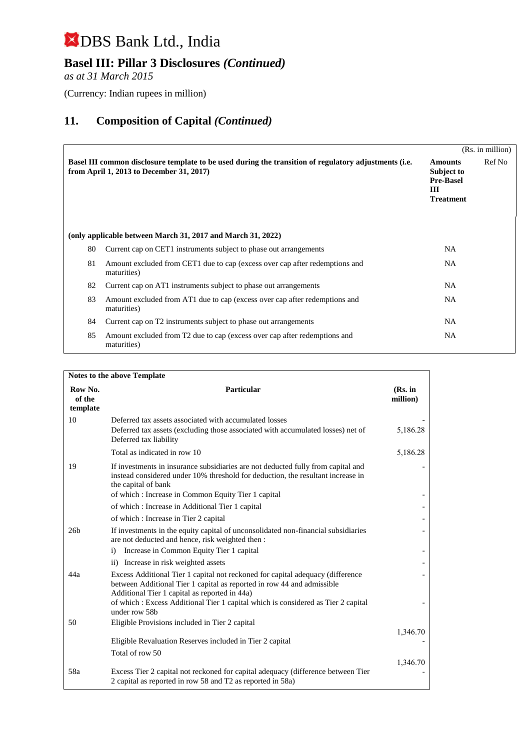## **Basel III: Pillar 3 Disclosures** *(Continued)*

*as at 31 March 2015*

(Currency: Indian rupees in million)

|    |                                                                                                                                                   |                                                                           | (Rs. in million) |
|----|---------------------------------------------------------------------------------------------------------------------------------------------------|---------------------------------------------------------------------------|------------------|
|    | Basel III common disclosure template to be used during the transition of regulatory adjustments (i.e.<br>from April 1, 2013 to December 31, 2017) | <b>Amounts</b><br>Subject to<br><b>Pre-Basel</b><br>Ш<br><b>Treatment</b> | Ref No           |
|    | (only applicable between March 31, 2017 and March 31, 2022)                                                                                       |                                                                           |                  |
| 80 | Current cap on CET1 instruments subject to phase out arrangements                                                                                 | <b>NA</b>                                                                 |                  |
| 81 | Amount excluded from CET1 due to cap (excess over cap after redemptions and<br>maturities)                                                        | NA.                                                                       |                  |
| 82 | Current cap on AT1 instruments subject to phase out arrangements                                                                                  | NA.                                                                       |                  |
| 83 | Amount excluded from AT1 due to cap (excess over cap after redemptions and<br>maturities)                                                         | NA.                                                                       |                  |
| 84 | Current cap on T2 instruments subject to phase out arrangements                                                                                   | NA.                                                                       |                  |
| 85 | Amount excluded from T2 due to cap (excess over cap after redemptions and<br>maturities)                                                          | <b>NA</b>                                                                 |                  |

| Notes to the above Template   |                                                                                                                                                                                                           |                     |  |
|-------------------------------|-----------------------------------------------------------------------------------------------------------------------------------------------------------------------------------------------------------|---------------------|--|
| Row No.<br>of the<br>template | <b>Particular</b>                                                                                                                                                                                         | (Rs. in<br>million) |  |
| 10                            | Deferred tax assets associated with accumulated losses<br>Deferred tax assets (excluding those associated with accumulated losses) net of<br>Deferred tax liability                                       | 5,186.28            |  |
|                               | Total as indicated in row 10                                                                                                                                                                              | 5,186.28            |  |
| 19                            | If investments in insurance subsidiaries are not deducted fully from capital and<br>instead considered under 10% threshold for deduction, the resultant increase in<br>the capital of bank                |                     |  |
|                               | of which: Increase in Common Equity Tier 1 capital                                                                                                                                                        |                     |  |
|                               | of which: Increase in Additional Tier 1 capital                                                                                                                                                           |                     |  |
|                               | of which : Increase in Tier 2 capital                                                                                                                                                                     |                     |  |
| 26b                           | If investments in the equity capital of unconsolidated non-financial subsidiaries<br>are not deducted and hence, risk weighted then :                                                                     |                     |  |
|                               | Increase in Common Equity Tier 1 capital<br>$\ddot{i}$                                                                                                                                                    |                     |  |
|                               | Increase in risk weighted assets<br>$\rm ii)$                                                                                                                                                             |                     |  |
| 44a                           | Excess Additional Tier 1 capital not reckoned for capital adequacy (difference<br>between Additional Tier 1 capital as reported in row 44 and admissible<br>Additional Tier 1 capital as reported in 44a) |                     |  |
|                               | of which : Excess Additional Tier 1 capital which is considered as Tier 2 capital<br>under row 58b                                                                                                        |                     |  |
| 50                            | Eligible Provisions included in Tier 2 capital                                                                                                                                                            |                     |  |
|                               |                                                                                                                                                                                                           | 1,346.70            |  |
|                               | Eligible Revaluation Reserves included in Tier 2 capital                                                                                                                                                  |                     |  |
|                               | Total of row 50                                                                                                                                                                                           |                     |  |
| 58a                           | Excess Tier 2 capital not reckoned for capital adequacy (difference between Tier<br>2 capital as reported in row 58 and T2 as reported in 58a)                                                            | 1,346.70            |  |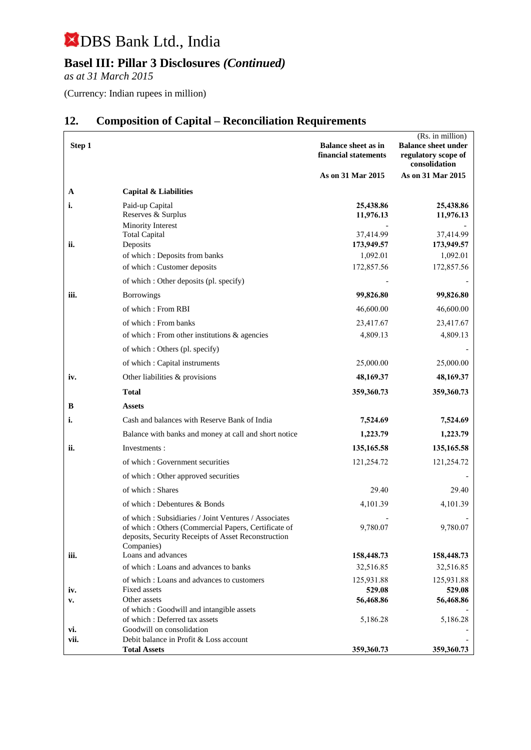## **Basel III: Pillar 3 Disclosures** *(Continued)*

*as at 31 March 2015*

(Currency: Indian rupees in million)

| Step 1 |                                                                                                                                                                                  | <b>Balance sheet as in</b><br>financial statements | (Rs. in million)<br><b>Balance sheet under</b><br>regulatory scope of<br>consolidation |
|--------|----------------------------------------------------------------------------------------------------------------------------------------------------------------------------------|----------------------------------------------------|----------------------------------------------------------------------------------------|
|        |                                                                                                                                                                                  | As on 31 Mar 2015                                  | As on 31 Mar 2015                                                                      |
| A      | Capital & Liabilities                                                                                                                                                            |                                                    |                                                                                        |
| i.     | Paid-up Capital<br>Reserves & Surplus<br>Minority Interest                                                                                                                       | 25,438.86<br>11,976.13                             | 25,438.86<br>11,976.13                                                                 |
|        | <b>Total Capital</b>                                                                                                                                                             | 37,414.99                                          | 37,414.99                                                                              |
| ii.    | Deposits                                                                                                                                                                         | 173,949.57                                         | 173,949.57                                                                             |
|        | of which : Deposits from banks                                                                                                                                                   | 1,092.01                                           | 1,092.01                                                                               |
|        | of which: Customer deposits                                                                                                                                                      | 172,857.56                                         | 172,857.56                                                                             |
|        | of which: Other deposits (pl. specify)                                                                                                                                           |                                                    |                                                                                        |
| iii.   | <b>Borrowings</b>                                                                                                                                                                | 99,826.80                                          | 99,826.80                                                                              |
|        | of which: From RBI                                                                                                                                                               | 46,600.00                                          | 46,600.00                                                                              |
|        | of which: From banks                                                                                                                                                             | 23,417.67                                          | 23,417.67                                                                              |
|        | of which : From other institutions & agencies                                                                                                                                    | 4,809.13                                           | 4,809.13                                                                               |
|        | of which : Others (pl. specify)                                                                                                                                                  |                                                    |                                                                                        |
|        | of which: Capital instruments                                                                                                                                                    | 25,000.00                                          | 25,000.00                                                                              |
| iv.    | Other liabilities & provisions                                                                                                                                                   | 48,169.37                                          | 48,169.37                                                                              |
|        | <b>Total</b>                                                                                                                                                                     | 359,360.73                                         | 359,360.73                                                                             |
| B      | <b>Assets</b>                                                                                                                                                                    |                                                    |                                                                                        |
| i.     | Cash and balances with Reserve Bank of India                                                                                                                                     | 7,524.69                                           | 7,524.69                                                                               |
|        | Balance with banks and money at call and short notice                                                                                                                            | 1,223.79                                           | 1,223.79                                                                               |
| ii.    | Investments:                                                                                                                                                                     | 135,165.58                                         | 135, 165.58                                                                            |
|        | of which: Government securities                                                                                                                                                  | 121,254.72                                         | 121,254.72                                                                             |
|        | of which : Other approved securities                                                                                                                                             |                                                    |                                                                                        |
|        | of which: Shares                                                                                                                                                                 | 29.40                                              | 29.40                                                                                  |
|        | of which: Debentures & Bonds                                                                                                                                                     | 4,101.39                                           | 4,101.39                                                                               |
|        | of which: Subsidiaries / Joint Ventures / Associates<br>of which: Others (Commercial Papers, Certificate of<br>deposits, Security Receipts of Asset Reconstruction<br>Companies) | 9,780.07                                           | 9,780.07                                                                               |
| iii.   | Loans and advances                                                                                                                                                               | 158,448.73                                         | 158,448.73                                                                             |
|        | of which: Loans and advances to banks                                                                                                                                            | 32,516.85                                          | 32,516.85                                                                              |
|        | of which: Loans and advances to customers                                                                                                                                        | 125,931.88                                         | 125,931.88                                                                             |
| iv.    | Fixed assets<br>Other assets                                                                                                                                                     | 529.08                                             | 529.08                                                                                 |
| v.     | of which: Goodwill and intangible assets                                                                                                                                         | 56,468.86                                          | 56,468.86                                                                              |
|        | of which : Deferred tax assets                                                                                                                                                   | 5,186.28                                           | 5,186.28                                                                               |
| vi.    | Goodwill on consolidation                                                                                                                                                        |                                                    |                                                                                        |
| vii.   | Debit balance in Profit & Loss account<br><b>Total Assets</b>                                                                                                                    | 359,360.73                                         | 359,360.73                                                                             |

## **12. Composition of Capital – Reconciliation Requirements**